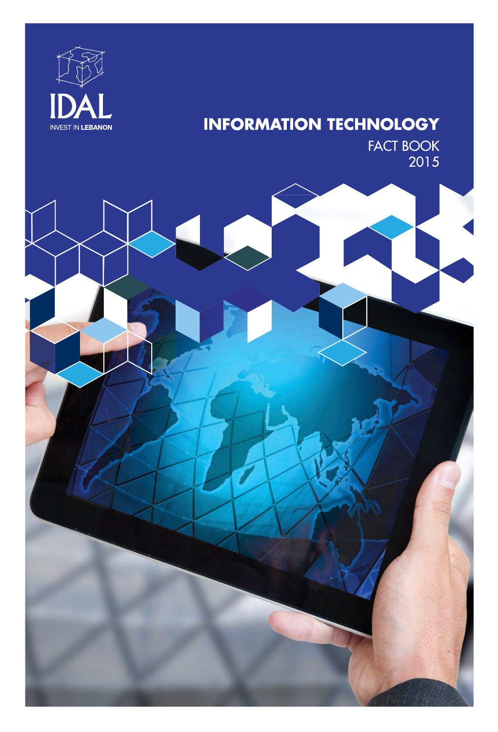

# **INFORMATION TECHNOLOGY** FACT BOOK<br>2015

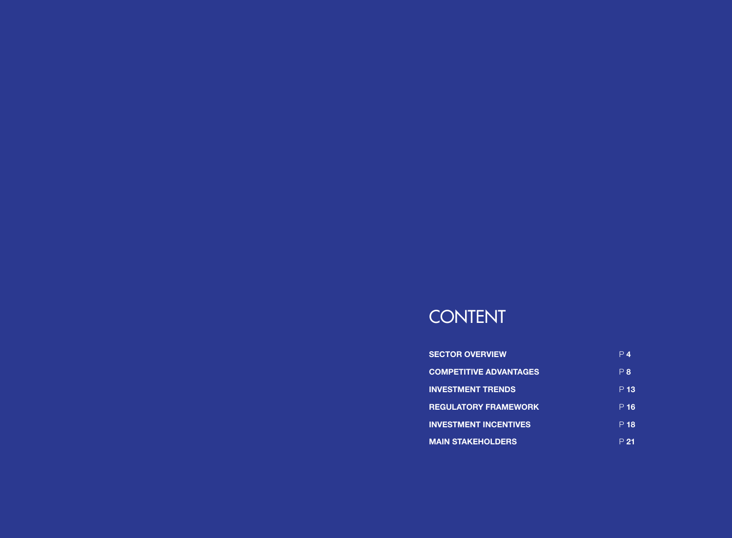# **CONTENT**

| <b>SECTOR OVERVIEW</b>        | PД     |
|-------------------------------|--------|
| <b>COMPETITIVE ADVANTAGES</b> | P 8    |
| <b>INVESTMENT TRENDS</b>      | $P$ 13 |
| <b>REGULATORY FRAMEWORK</b>   | P 16   |
| <b>INVESTMENT INCENTIVES</b>  | P 18   |
| <b>MAIN STAKEHOLDERS</b>      | P 21   |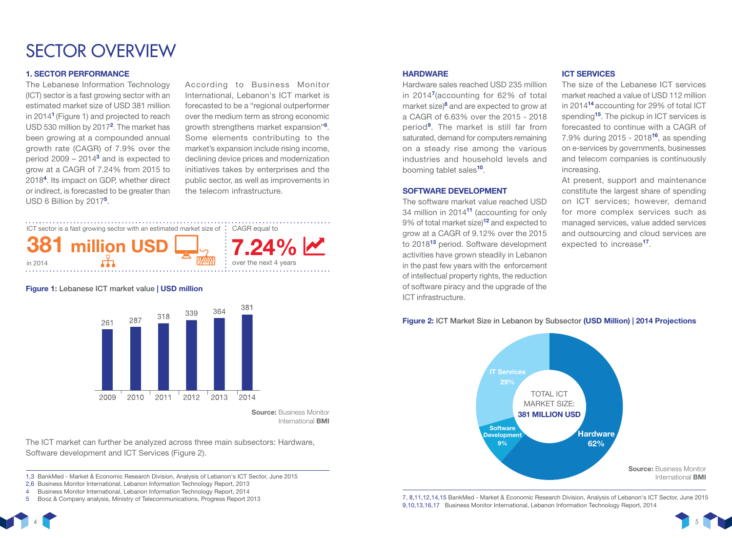# SECTOR OVERVIEW

#### 1. SECTOR PERFORMANCE

The Lebanese Information Technology (ICT) sector is a fast growing sector with an estimated market size of USD 381 million in 2014<sup>1</sup>(Figure 1) and projected to reach USD 530 million by 2017<sup>2</sup>. The market has been growing at a compounded annual growth rate (CAGR) of 7.9% over the period 2009 – 2014<sup>3</sup> and is expected to grow at a CAGR of 7.24% from 2015 to 2018<sup>4</sup>. Its impact on GDP, whether direct or indirect, is forecasted to be greater than USD 6 Billion by 2017<sup>5</sup>.

According to Business Monitor International, Lebanon's ICT market is forecasted to be a "regional outperformer over the medium term as strong economic growth strengthens market expansion"<sup>6</sup>. Some elements contributing to the market's expansion include rising income, declining device prices and modernization initiatives takes by enterprises and the public sector, as well as improvements in the telecom infrastructure.



#### **million USD** in  $2014$ over the next 4 years

#### Figure 1: Lebanese ICT market value | USD million



**Source: Business Monitor** International BMI

The ICT market can further be analyzed across three main subsectors: Hardware, Software development and ICT Services (Figure 2).

1,3 BankMed - Market & Economic Research Division, Analysis of Lebanon's ICT Sector, June 2015

- 2,6 Business Monitor International, Lebanon Information Technology Report, 2013
- 4 Business Monitor International, Lebanon Information Technology Report, 2014
- 5 Booz & Company analysis, Ministry of Telecommunications, Progress Report 2013

#### **HARDWARE**

Hardware sales reached USD 235 million in 2014<sup>7</sup>(accounting for 62% of total market size)<sup>8</sup> and are expected to grow at a CAGR of 6.63% over the 2015 - 2018 period<sup>9</sup>. The market is still far from saturated, demand for computers remaining on a steady rise among the various industries and household levels and booming tablet sales<sup>10</sup>.

#### SOFTWARE DEVELOPMENT

The software market value reached USD 34 million in 2014<sup>11</sup> (accounting for only 9% of total market size)<sup>12</sup> and expected to grow at a CAGR of 9.12% over the 2015 to 2018<sup>13</sup> period. Software development activities have grown steadily in Lebanon in the past few years with the enforcement of intellectual property rights, the reduction of software piracy and the upgrade of the ICT infrastructure.

#### ICT SERVICES

The size of the Lebanese ICT services market reached a value of USD 112 million in 2014<sup>14</sup>accounting for 29% of total ICT spending<sup>15</sup>. The pickup in ICT services is forecasted to continue with a CAGR of 7.9% during 2015 - 2018<sup>16</sup>, as spending on e-services by governments, businesses and telecom companies is continuously increasing.

At present, support and maintenance constitute the largest share of spending on ICT services; however, demand for more complex services such as managed services, value added services and outsourcing and cloud services are expected to increase<sup>17</sup>.





7, 8,11,12,14,15 BankMed - Market & Economic Research Division, Analysis of Lebanon's ICT Sector, June 2015 9,10,13,16,17 Business Monitor International, Lebanon Information Technology Report, 2014



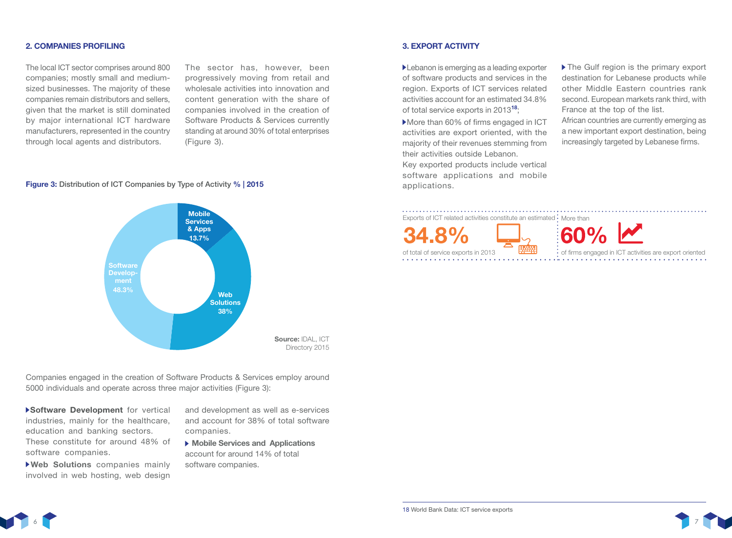#### 2. COMPANIES PROFILING

The local ICT sector comprises around 800 companies; mostly small and mediumsized businesses. The majority of these companies remain distributors and sellers, given that the market is still dominated by major international ICT hardware manufacturers, represented in the country through local agents and distributors.

The sector has, however, been progressively moving from retail and wholesale activities into innovation and content generation with the share of companies involved in the creation of Software Products & Services currently standing at around 30% of total enterprises (Figure 3).

#### Figure 3: Distribution of ICT Companies by Type of Activity % | 2015



Companies engaged in the creation of Software Products & Services employ around 5000 individuals and operate across three major activities (Figure 3):

Software Development for vertical industries, mainly for the healthcare, education and banking sectors. These constitute for around 48% of software companies.

Web Solutions companies mainly involved in web hosting, web design

and development as well as e-services and account for 38% of total software companies.

▶ Mobile Services and Applications account for around 14% of total software companies.

#### 3. EXPORT ACTIVITY

 Lebanon is emerging as a leading exporter of software products and services in the region. Exports of ICT services related activities account for an estimated 34.8% of total service exports in 2013<sup>18</sup>;

More than 60% of firms engaged in ICT activities are export oriented, with the majority of their revenues stemming from their activities outside Lebanon.

Key exported products include vertical software applications and mobile applications.

 The Gulf region is the primary export destination for Lebanese products while other Middle Eastern countries rank second. European markets rank third, with France at the top of the list.

African countries are currently emerging as a new important export destination, being increasingly targeted by Lebanese firms.





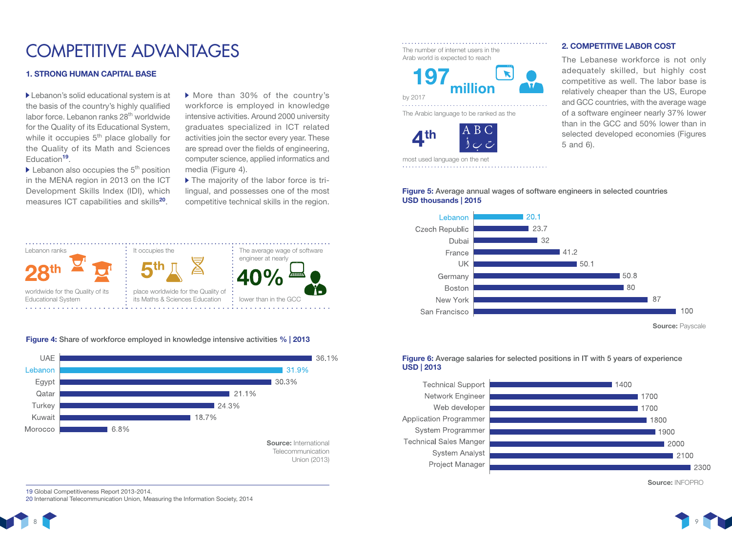# COMPETITIVE ADVANTAGES

#### 1. STRONG HUMAN CAPITAL BASE

 Lebanon's solid educational system is at the basis of the country's highly qualified labor force. Lebanon ranks 28<sup>th</sup> worldwide for the Quality of its Educational System, while it occupies  $5<sup>th</sup>$  place globally for the Quality of its Math and Sciences Education<sup>19</sup>.

 $\blacktriangleright$  Lebanon also occupies the 5<sup>th</sup> position in the MENA region in 2013 on the ICT Development Skills Index (IDI), which measures ICT capabilities and skills<sup>20</sup>.

More than 30% of the country's workforce is employed in knowledge intensive activities. Around 2000 university graduates specialized in ICT related activities join the sector every year. These are spread over the fields of engineering, computer science, applied informatics and media (Figure 4).

▶ The majority of the labor force is trilingual, and possesses one of the most competitive technical skills in the region.



#### Figure 4: Share of workforce employed in knowledge intensive activities % | 2013



The number of internet users in the Arab world is expected to reach

## lion by 2017



#### 2. COMPETITIVE LABOR COST

The Lebanese workforce is not only adequately skilled, but highly cost competitive as well. The labor base is relatively cheaper than the US, Europe and GCC countries, with the average wage of a software engineer nearly 37% lower than in the GCC and 50% lower than in selected developed economies (Figures 5 and 6).

#### Figure 5: Average annual wages of software engineers in selected countries USD thousands | 2015



#### Figure 6: Average salaries for selected positions in IT with 5 years of experience USD | 2013



Source: INFOPRO

19 Global Competitiveness Report 2013-2014.

20 International Telecommunication Union, Measuring the Information Society, 2014



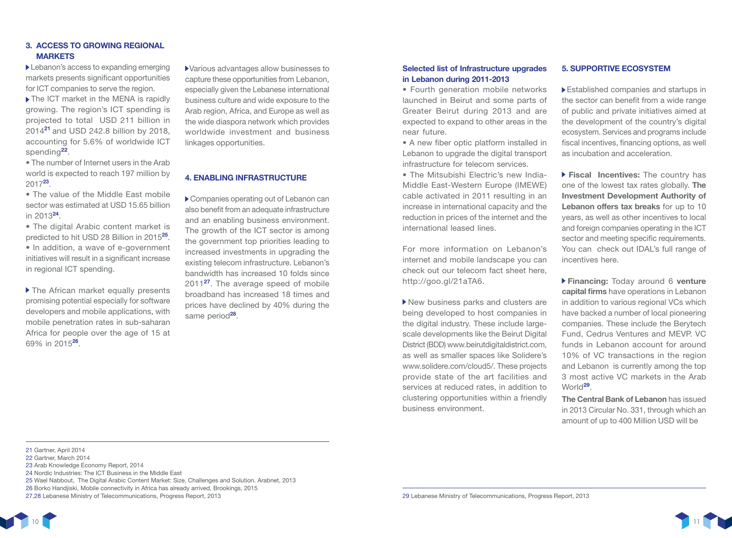#### 3. ACCESS TO GROWING REGIONAL **MARKETS**

Lebanon's access to expanding emerging markets presents significant opportunities for ICT companies to serve the region.

The ICT market in the MENA is rapidly growing. The region's ICT spending is projected to total USD 211 billion in 2014<sup>21</sup> and USD 242.8 billion by 2018, accounting for 5.6% of worldwide ICT spending<sup>22</sup>.

- The number of Internet users in the Arab world is expected to reach 197 million by 2017<sup>23</sup>.
- The value of the Middle East mobile sector was estimated at USD 15.65 billion in 2013<sup>24</sup>.
- The digital Arabic content market is predicted to hit USD 28 Billion in 2015<sup>25</sup>. • In addition, a wave of e-government initiatives will result in a significant increase in regional ICT spending.

▶ The African market equally presents promising potential especially for software developers and mobile applications, with mobile penetration rates in sub-saharan Africa for people over the age of 15 at 69% in 2015<sup>26</sup>.

 Various advantages allow businesses to capture these opportunities from Lebanon, especially given the Lebanese international business culture and wide exposure to the Arab region, Africa, and Europe as well as the wide diaspora network which provides worldwide investment and business linkages opportunities.

#### 4. ENABLING INFRASTRUCTURE

 Companies operating out of Lebanon can also benefit from an adequate infrastructure and an enabling business environment. The growth of the ICT sector is among the government top priorities leading to increased investments in upgrading the existing telecom infrastructure. Lebanon's bandwidth has increased 10 folds since 2011<sup>27</sup>. The average speed of mobile broadband has increased 18 times and prices have declined by 40% during the same period<sup>28</sup>.

#### Selected list of Infrastructure upgrades in Lebanon during 2011-2013

• Fourth generation mobile networks launched in Beirut and some parts of Greater Beirut during 2013 and are expected to expand to other areas in the near future.

• A new fiber optic platform installed in Lebanon to upgrade the digital transport infrastructure for telecom services.

• The Mitsubishi Electric's new India-Middle East-Western Europe (IMEWE) cable activated in 2011 resulting in an increase in international capacity and the reduction in prices of the internet and the international leased lines.

For more information on Lebanon's internet and mobile landscape you can check out our telecom fact sheet here, http://goo.gl/21aTA6.

▶New business parks and clusters are being developed to host companies in the digital industry. These include largescale developments like the Beirut Digital District (BDD) www.beirutdigitaldistrict.com, as well as smaller spaces like Solidere's www.solidere.com/cloud5/. These projects provide state of the art facilities and services at reduced rates, in addition to clustering opportunities within a friendly business environment.

#### 5. SUPPORTIVE ECOSYSTEM

 Established companies and startups in the sector can benefit from a wide range of public and private initiatives aimed at the development of the country's digital ecosystem. Services and programs include fiscal incentives, financing options, as well as incubation and acceleration.

 Fiscal Incentives: The country has one of the lowest tax rates globally. The Investment Development Authority of Lebanon offers tax breaks for up to 10 years, as well as other incentives to local and foreign companies operating in the ICT sector and meeting specific requirements. You can check out IDAL's full range of incentives here.

▶ Financing: Today around 6 venture capital firms have operations in Lebanon in addition to various regional VCs which have backed a number of local pioneering companies. These include the Berytech Fund, Cedrus Ventures and MEVP. VC funds in Lebanon account for around 10% of VC transactions in the region and Lebanon is currently among the top 3 most active VC markets in the Arab World<sup>29</sup>.

The Central Bank of Lebanon has issued in 2013 Circular No. 331, through which an amount of up to 400 Million USD will be

21 Gartner, April 2014

- 22 Gartner, March 2014
- 23 Arab Knowledge Economy Report, 2014
- 24 Nordic Industries: The ICT Business in the Middle East
- 25 Wael Nabbout, The Digital Arabic Content Market: Size, Challenges and Solution. Arabnet, 2013
- 26 Borko Handjiski, Mobile connectivity in Africa has already arrived, Brookings, 2015
- 

<sup>27,28</sup> Lebanese Ministry of Telecommunications, Progress Report, 2013 29 Lebanese Ministry of Telecommunications, Progress Report, 2013



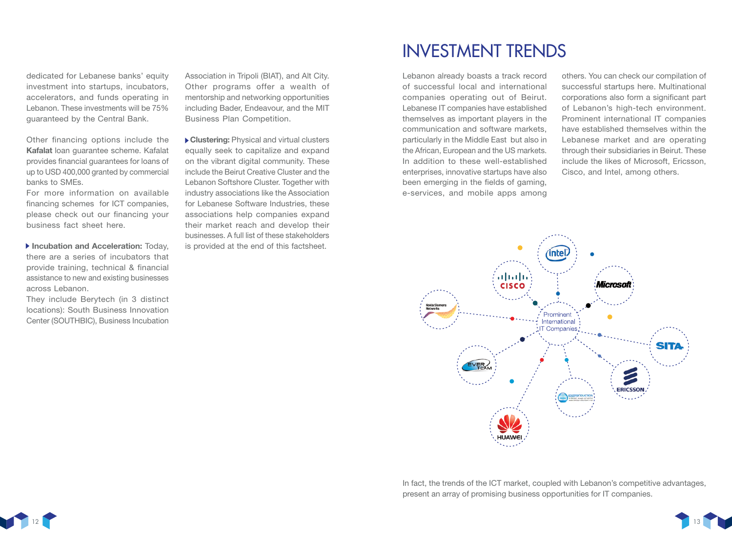dedicated for Lebanese banks' equity investment into startups, incubators, accelerators, and funds operating in Lebanon. These investments will be 75% guaranteed by the Central Bank.

Other financing options include the Kafalat loan quarantee scheme. Kafalat provides financial guarantees for loans of up to USD 400,000 granted by commercial banks to SMEs.

For more information on available financing schemes for ICT companies, please check out our financing your business fact sheet here.

**Incubation and Acceleration: Today,** there are a series of incubators that provide training, technical & financial assistance to new and existing businesses across Lebanon.

They include Berytech (in 3 distinct locations): South Business Innovation Center (SOUTHBIC), Business Incubation

Association in Tripoli (BIAT), and Alt City. Other programs offer a wealth of mentorship and networking opportunities including Bader, Endeavour, and the MIT Business Plan Competition.

▶ Clustering: Physical and virtual clusters equally seek to capitalize and expand on the vibrant digital community. These include the Beirut Creative Cluster and the Lebanon Softshore Cluster. Together with industry associations like the Association for Lebanese Software Industries, these associations help companies expand their market reach and develop their businesses. A full list of these stakeholders is provided at the end of this factsheet.

# INVESTMENT TRENDS

Lebanon already boasts a track record of successful local and international companies operating out of Beirut. Lebanese IT companies have established themselves as important players in the communication and software markets, particularly in the Middle East but also in the African, European and the US markets. In addition to these well-established enterprises, innovative startups have also been emerging in the fields of gaming, e-services, and mobile apps among others. You can check our compilation of successful startups here. Multinational corporations also form a significant part of Lebanon's high-tech environment. Prominent international IT companies have established themselves within the Lebanese market and are operating through their subsidiaries in Beirut. These include the likes of Microsoft, Ericsson, Cisco, and Intel, among others.



In fact, the trends of the ICT market, coupled with Lebanon's competitive advantages, present an array of promising business opportunities for IT companies.



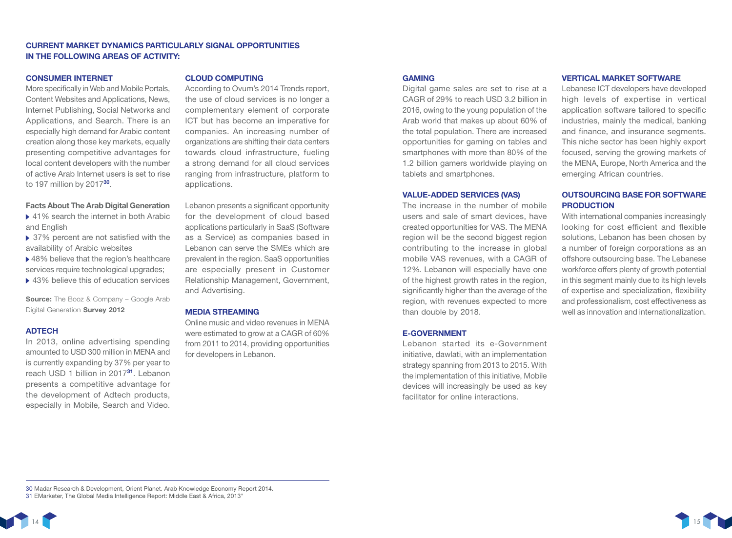#### Current market dynamics particularly signal opportunities in the following areas of activity:

#### Consumer Internet

More specifically in Web and Mobile Portals, Content Websites and Applications, News, Internet Publishing, Social Networks and Applications, and Search. There is an especially high demand for Arabic content creation along those key markets, equally presenting competitive advantages for local content developers with the number of active Arab Internet users is set to rise to 197 million by  $2017^{30}$ .

#### Facts About The Arab Digital Generation

- ▶ 41% search the internet in both Arabic and English
- ▶ 37% percent are not satisfied with the availability of Arabic websites
- ▶ 48% believe that the region's healthcare services require technological upgrades;
- ▶ 43% believe this of education services

**Source:** The Booz & Company – Google Arab Digital Generation Survey 2012

#### **ADTECH**

In 2013, online advertising spending amounted to USD 300 million in MENA and is currently expanding by 37% per year to reach USD 1 billion in 2017<sup>31</sup>. Lebanon presents a competitive advantage for the development of Adtech products, especially in Mobile, Search and Video.

#### Cloud Computing

According to Ovum's 2014 Trends report, the use of cloud services is no longer a complementary element of corporate ICT but has become an imperative for companies. An increasing number of organizations are shifting their data centers towards cloud infrastructure, fueling a strong demand for all cloud services ranging from infrastructure, platform to applications.

Lebanon presents a significant opportunity for the development of cloud based applications particularly in SaaS (Software as a Service) as companies based in Lebanon can serve the SMEs which are prevalent in the region. SaaS opportunities are especially present in Customer Relationship Management, Government, and Advertising.

#### Media Streaming

Online music and video revenues in MENA were estimated to grow at a CAGR of 60% from 2011 to 2014, providing opportunities for developers in Lebanon.

#### **GAMING**

Digital game sales are set to rise at a CAGR of 29% to reach USD 3.2 billion in 2016, owing to the young population of the Arab world that makes up about 60% of the total population. There are increased opportunities for gaming on tables and smartphones with more than 80% of the 1.2 billion gamers worldwide playing on tablets and smartphones.

#### Value-Added Services (VAS)

The increase in the number of mobile users and sale of smart devices, have created opportunities for VAS. The MENA region will be the second biggest region contributing to the increase in global mobile VAS revenues, with a CAGR of 12%. Lebanon will especially have one of the highest growth rates in the region, significantly higher than the average of the region, with revenues expected to more than double by 2018.

#### **E-GOVERNMENT**

Lebanon started its e-Government initiative, dawlati, with an implementation strategy spanning from 2013 to 2015. With the implementation of this initiative, Mobile devices will increasingly be used as key facilitator for online interactions.

#### **VERTICAL MARKET SOFTWARE**

Lebanese ICT developers have developed high levels of expertise in vertical application software tailored to specific industries, mainly the medical, banking and finance, and insurance segments. This niche sector has been highly export focused, serving the growing markets of the MENA, Europe, North America and the emerging African countries.

#### Outsourcing Base for Software **PRODUCTION**

With international companies increasingly looking for cost efficient and flexible solutions, Lebanon has been chosen by a number of foreign corporations as an offshore outsourcing base. The Lebanese workforce offers plenty of growth potential in this segment mainly due to its high levels of expertise and specialization, flexibility and professionalism, cost effectiveness as well as innovation and internationalization.

30 Madar Research & Development, Orient Planet. Arab Knowledge Economy Report 2014. 31 EMarketer, The Global Media Intelligence Report: Middle East & Africa, 2013"

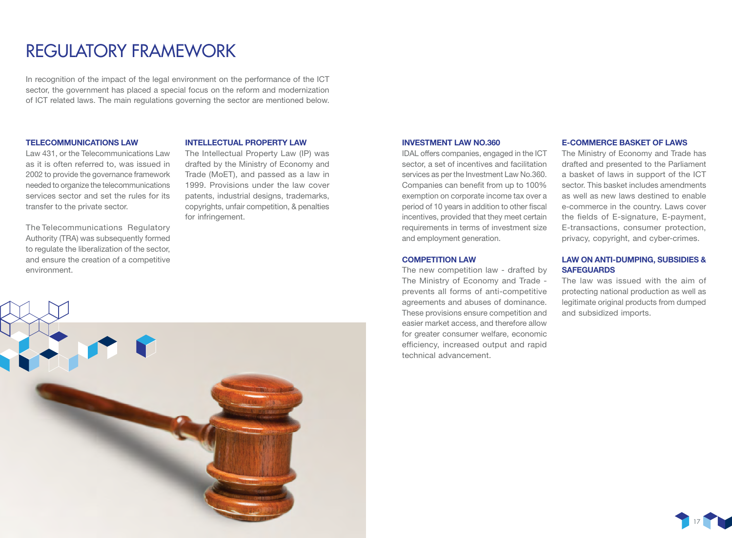## REGULATORY FRAMEWORK

In recognition of the impact of the legal environment on the performance of the ICT sector, the government has placed a special focus on the reform and modernization of ICT related laws. The main regulations governing the sector are mentioned below.

#### TELECOMMUNICATIONS LAW

Law 431, or the Telecommunications Law as it is often referred to, was issued in 2002 to provide the governance framework needed to organize the telecommunications services sector and set the rules for its transfer to the private sector.

The Telecommunications Regulatory Authority (TRA) was subsequently formed to regulate the liberalization of the sector, and ensure the creation of a competitive environment.

#### INTELLECTUAL PROPERTY LAW

The Intellectual Property Law (IP) was drafted by the Ministry of Economy and Trade (MoET), and passed as a law in 1999. Provisions under the law cover patents, industrial designs, trademarks, copyrights, unfair competition, & penalties for infringement.



#### INVESTMENT LAW No.360

IDAL offers companies, engaged in the ICT sector, a set of incentives and facilitation services as per the Investment Law No.360. Companies can benefit from up to 100% exemption on corporate income tax over a period of 10 years in addition to other fiscal incentives, provided that they meet certain requirements in terms of investment size and employment generation.

#### COMPETITION LAW

The new competition law - drafted by The Ministry of Economy and Trade prevents all forms of anti-competitive agreements and abuses of dominance. These provisions ensure competition and easier market access, and therefore allow for greater consumer welfare, economic efficiency, increased output and rapid technical advancement.

#### E-COMMERCE BASKET OF LAWS

The Ministry of Economy and Trade has drafted and presented to the Parliament a basket of laws in support of the ICT sector. This basket includes amendments as well as new laws destined to enable e-commerce in the country. Laws cover the fields of E-signature, E-payment, E-transactions, consumer protection, privacy, copyright, and cyber-crimes.

#### LAW ON ANTI-DUMPING, SUBSIDIES & **SAFEGUARDS**

The law was issued with the aim of protecting national production as well as legitimate original products from dumped and subsidized imports.

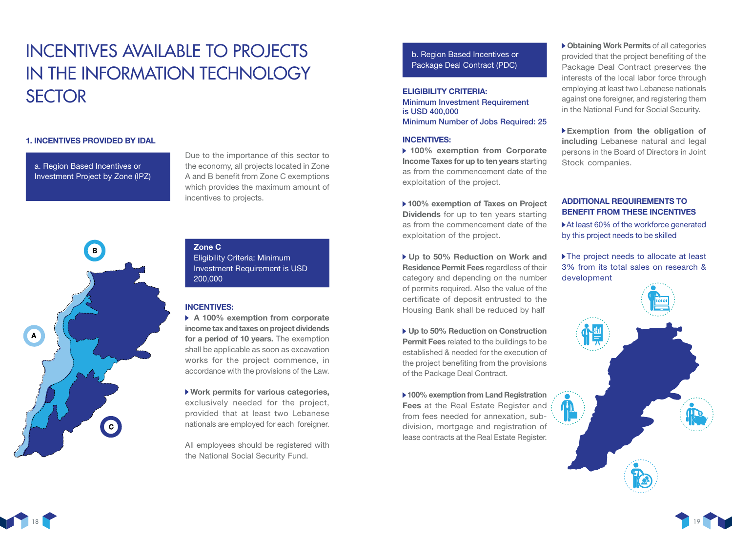# INCENTIVES AVAILABLE TO PROJECTS IN THE INFORMATION TECHNOLOGY **SECTOR**

#### 1. INCENTIVES PROVIDED BY IDAL

a. Region Based Incentives or Investment Project by Zone (IPZ)

Due to the importance of this sector to the economy, all projects located in Zone A and B benefit from Zone C exemptions which provides the maximum amount of incentives to projects.

# $\mathbf{A}$

Zone C

Eligibility Criteria: Minimum Investment Requirement is USD 200,000

#### INCENTIVES:

A 100% exemption from corporate income tax and taxes on project dividends for a period of 10 years. The exemption shall be applicable as soon as excavation works for the project commence, in accordance with the provisions of the Law.

#### Work permits for various categories,

exclusively needed for the project, provided that at least two Lebanese nationals are employed for each foreigner.

All employees should be registered with the National Social Security Fund.

b. Region Based Incentives or Package Deal Contract (PDC)

#### **ELIGIBILITY CRITERIA:**

Minimum Investment Requirement is USD 400,000 Minimum Number of Jobs Required: 25

#### **INCENTIVES:**

▶ 100% exemption from Corporate Income Taxes for up to ten years starting as from the commencement date of the exploitation of the project.

▶ 100% exemption of Taxes on Project Dividends for up to ten years starting as from the commencement date of the exploitation of the project.

▶ Up to 50% Reduction on Work and Residence Permit Fees regardless of their category and depending on the number of permits required. Also the value of the certificate of deposit entrusted to the Housing Bank shall be reduced by half

▶ Up to 50% Reduction on Construction Permit Fees related to the buildings to be established & needed for the execution of the project benefiting from the provisions of the Package Deal Contract.

▶ 100% exemption from Land Registration Fees at the Real Estate Register and from fees needed for annexation, subdivision, mortgage and registration of lease contracts at the Real Estate Register.

 Obtaining Work Permits of all categories provided that the project benefiting of the Package Deal Contract preserves the interests of the local labor force through employing at least two Lebanese nationals against one foreigner, and registering them in the National Fund for Social Security.

 Exemption from the obligation of including Lebanese natural and legal persons in the Board of Directors in Joint Stock companies.

#### Additional Requirements to Benefit from these Incentives

▶ At least 60% of the workforce generated by this project needs to be skilled

 The project needs to allocate at least 3% from its total sales on research & development



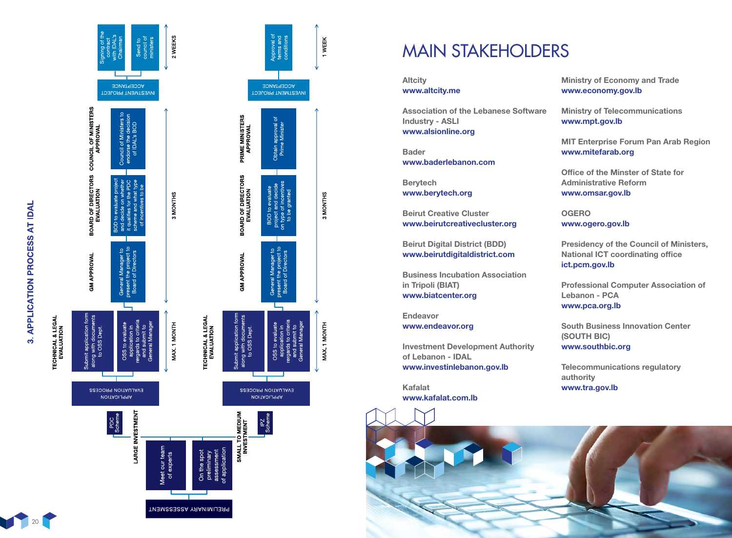# 3. APPLICATION PROCESS AT IDAL



# MAIN STAKEHOLDERS

#### **Altcity**

1 WEEK

3 MONTHS

MAX 1 MONTH

www.altcity.me

Association of the Lebanese Software Industry - ASLI www.alsionline.org

Bader www.baderlebanon.com

**Berytech** www.berytech.org

Beirut Creative Cluster www.beirutcreativecluster.org

Beirut Digital District (BDD) www.beirutdigitaldistrict.com

Business Incubation Association in Tripoli (BIAT) www.biatcenter.org

Endeavor www.endeavor.org

Investment Development Authority of Lebanon - IDAL www.investinlebanon.gov.lb

Kafalat www.kafalat.com.lb Ministry of Economy and Trade www.economy.gov.lb

Ministry of Telecommunications www.mpt.gov.lb

MIT Enterprise Forum Pan Arab Region www.mitefarab.org

Office of the Minster of State for Administrative Reform www.omsar.gov.lb

**OGERO** www.ogero.gov.lb

Presidency of the Council of Ministers, National ICT coordinating office ict.pcm.gov.lb

Professional Computer Association of Lebanon - PCA www.pca.org.lb

South Business Innovation Center (SOUTH BIC) www.southbic.org

Telecommunications regulatory authority www.tra.gov.lb

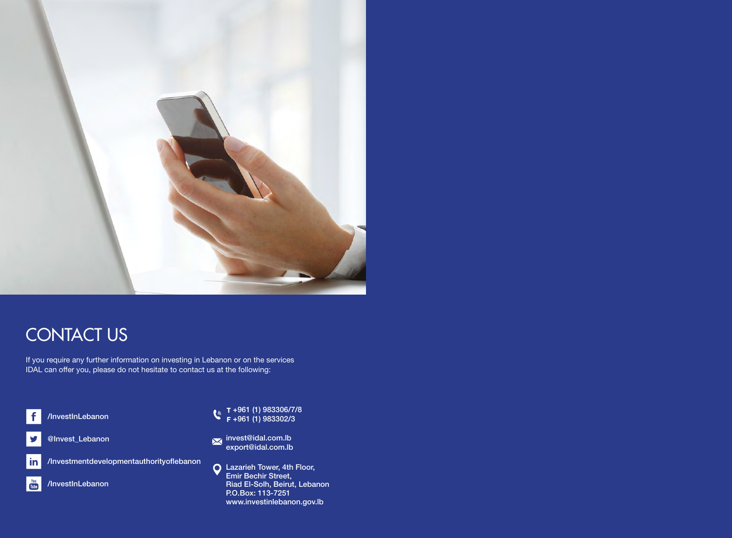

# CONTACT US

If you require any further information on investing in Lebanon or on the services IDAL can offer you, please do not hesitate to contact us at the following:



@Invest\_Lebanon y

/Investmentdevelopmentauthorityoflebanon  $\mathsf{lin}$ 

You<br>Tube /InvestInLebanon

- +961 (1) 983306/7/8 +961 (1) 983302/3
- invest@idal.com.lb export@idal.com.lb
- **Q** Lazarieh Tower, 4th Floor, Emir Bechir Street, Riad El-Solh, Beirut, Lebanon P.O.Box: 113-7251 www.investinlebanon.gov.lb